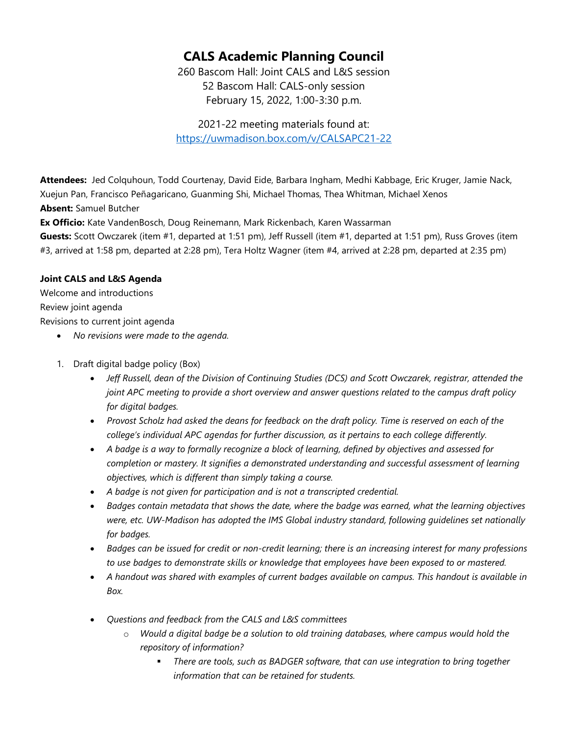# **CALS Academic Planning Council**

260 Bascom Hall: Joint CALS and L&S session 52 Bascom Hall: CALS-only session February 15, 2022, 1:00-3:30 p.m.

2021-22 meeting materials found at: <https://uwmadison.box.com/v/CALSAPC21-22>

**Attendees:** Jed Colquhoun, Todd Courtenay, David Eide, Barbara Ingham, Medhi Kabbage, Eric Kruger, Jamie Nack, Xuejun Pan, Francisco Peñagaricano, Guanming Shi, Michael Thomas, Thea Whitman, Michael Xenos **Absent:** Samuel Butcher

**Ex Officio:** Kate VandenBosch, Doug Reinemann, Mark Rickenbach, Karen Wassarman

**Guests:** Scott Owczarek (item #1, departed at 1:51 pm), Jeff Russell (item #1, departed at 1:51 pm), Russ Groves (item #3, arrived at 1:58 pm, departed at 2:28 pm), Tera Holtz Wagner (item #4, arrived at 2:28 pm, departed at 2:35 pm)

## **Joint CALS and L&S Agenda**

Welcome and introductions Review joint agenda Revisions to current joint agenda

- *No revisions were made to the agenda.*
- 1. Draft digital badge policy (Box)
	- *Jeff Russell, dean of the Division of Continuing Studies (DCS) and Scott Owczarek, registrar, attended the joint APC meeting to provide a short overview and answer questions related to the campus draft policy for digital badges.*
	- *Provost Scholz had asked the deans for feedback on the draft policy. Time is reserved on each of the college's individual APC agendas for further discussion, as it pertains to each college differently.*
	- *A badge is a way to formally recognize a block of learning, defined by objectives and assessed for completion or mastery. It signifies a demonstrated understanding and successful assessment of learning objectives, which is different than simply taking a course.*
	- *A badge is not given for participation and is not a transcripted credential.*
	- *Badges contain metadata that shows the date, where the badge was earned, what the learning objectives were, etc. UW-Madison has adopted the IMS Global industry standard, following guidelines set nationally for badges.*
	- *Badges can be issued for credit or non-credit learning; there is an increasing interest for many professions to use badges to demonstrate skills or knowledge that employees have been exposed to or mastered.*
	- *A handout was shared with examples of current badges available on campus. This handout is available in Box.*
	- *Questions and feedback from the CALS and L&S committees*
		- o *Would a digital badge be a solution to old training databases, where campus would hold the repository of information?*
			- *There are tools, such as BADGER software, that can use integration to bring together information that can be retained for students.*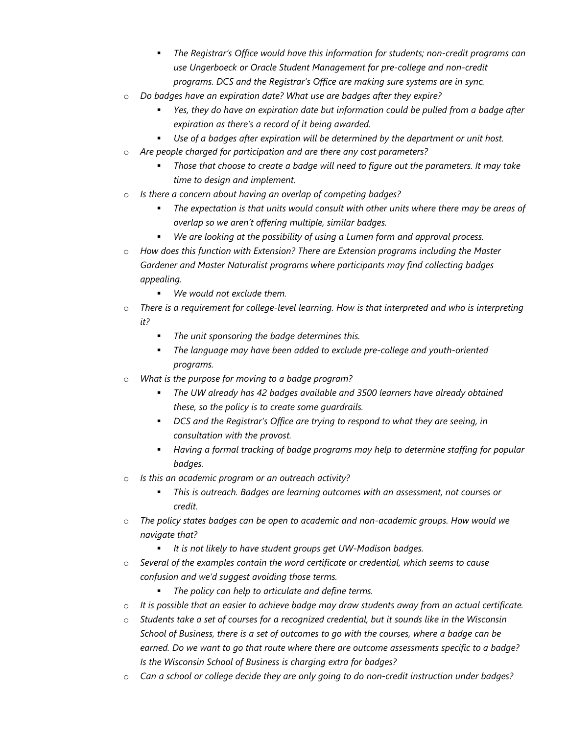- *The Registrar's Office would have this information for students; non-credit programs can use Ungerboeck or Oracle Student Management for pre-college and non-credit programs. DCS and the Registrar's Office are making sure systems are in sync.*
- o *Do badges have an expiration date? What use are badges after they expire?*
	- *Yes, they do have an expiration date but information could be pulled from a badge after expiration as there's a record of it being awarded.*
	- *Use of a badges after expiration will be determined by the department or unit host.*
- o *Are people charged for participation and are there any cost parameters?*
	- *Those that choose to create a badge will need to figure out the parameters. It may take time to design and implement.*
- o *Is there a concern about having an overlap of competing badges?* 
	- *The expectation is that units would consult with other units where there may be areas of overlap so we aren't offering multiple, similar badges.*
	- *We are looking at the possibility of using a Lumen form and approval process.*
- o *How does this function with Extension? There are Extension programs including the Master Gardener and Master Naturalist programs where participants may find collecting badges appealing.*
	- *We would not exclude them.*
- o *There is a requirement for college-level learning. How is that interpreted and who is interpreting it?*
	- *The unit sponsoring the badge determines this.*
	- *The language may have been added to exclude pre-college and youth-oriented programs.*
- o *What is the purpose for moving to a badge program?*
	- *The UW already has 42 badges available and 3500 learners have already obtained these, so the policy is to create some guardrails.*
	- *DCS and the Registrar's Office are trying to respond to what they are seeing, in consultation with the provost.*
	- *Having a formal tracking of badge programs may help to determine staffing for popular badges.*
- o *Is this an academic program or an outreach activity?* 
	- *This is outreach. Badges are learning outcomes with an assessment, not courses or credit.*
- o *The policy states badges can be open to academic and non-academic groups. How would we navigate that?*
	- *It is not likely to have student groups get UW-Madison badges.*
- o *Several of the examples contain the word certificate or credential, which seems to cause confusion and we'd suggest avoiding those terms.*
	- *The policy can help to articulate and define terms.*
- o *It is possible that an easier to achieve badge may draw students away from an actual certificate.*
- o *Students take a set of courses for a recognized credential, but it sounds like in the Wisconsin School of Business, there is a set of outcomes to go with the courses, where a badge can be earned. Do we want to go that route where there are outcome assessments specific to a badge? Is the Wisconsin School of Business is charging extra for badges?*
- o *Can a school or college decide they are only going to do non-credit instruction under badges?*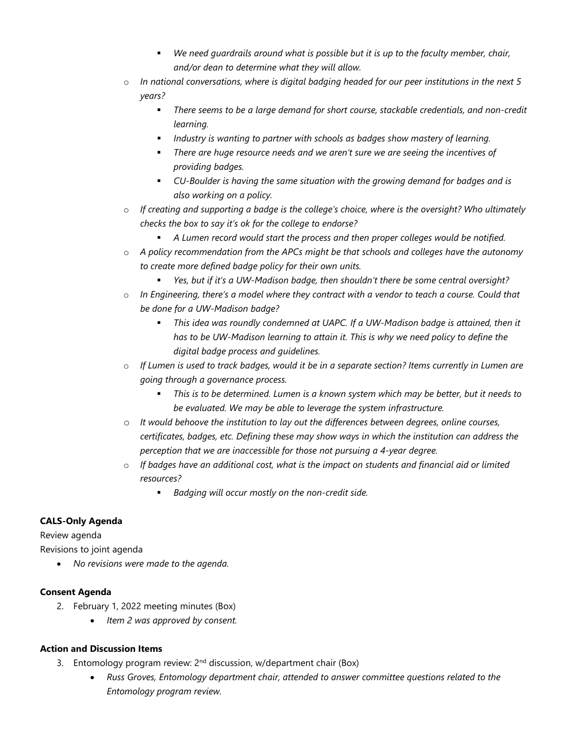- *We need guardrails around what is possible but it is up to the faculty member, chair, and/or dean to determine what they will allow.*
- o *In national conversations, where is digital badging headed for our peer institutions in the next 5 years?*
	- *There seems to be a large demand for short course, stackable credentials, and non-credit learning.*
	- *Industry is wanting to partner with schools as badges show mastery of learning.*
	- *There are huge resource needs and we aren't sure we are seeing the incentives of providing badges.*
	- *CU-Boulder is having the same situation with the growing demand for badges and is also working on a policy.*
- o *If creating and supporting a badge is the college's choice, where is the oversight? Who ultimately checks the box to say it's ok for the college to endorse?*
	- *A Lumen record would start the process and then proper colleges would be notified.*
- o *A policy recommendation from the APCs might be that schools and colleges have the autonomy to create more defined badge policy for their own units.*
	- *Yes, but if it's a UW-Madison badge, then shouldn't there be some central oversight?*
- o *In Engineering, there's a model where they contract with a vendor to teach a course. Could that be done for a UW-Madison badge?*
	- *This idea was roundly condemned at UAPC. If a UW-Madison badge is attained, then it has to be UW-Madison learning to attain it. This is why we need policy to define the digital badge process and guidelines.*
- o *If Lumen is used to track badges, would it be in a separate section? Items currently in Lumen are going through a governance process.*
	- *This is to be determined. Lumen is a known system which may be better, but it needs to be evaluated. We may be able to leverage the system infrastructure.*
- o *It would behoove the institution to lay out the differences between degrees, online courses, certificates, badges, etc. Defining these may show ways in which the institution can address the perception that we are inaccessible for those not pursuing a 4-year degree.*
- o *If badges have an additional cost, what is the impact on students and financial aid or limited resources?* 
	- *Badging will occur mostly on the non-credit side.*

# **CALS-Only Agenda**

Review agenda

Revisions to joint agenda

• *No revisions were made to the agenda.*

#### **Consent Agenda**

- 2. February 1, 2022 meeting minutes (Box)
	- *Item 2 was approved by consent.*

#### **Action and Discussion Items**

- 3. Entomology program review:  $2<sup>nd</sup>$  discussion, w/department chair (Box)
	- *Russ Groves, Entomology department chair, attended to answer committee questions related to the Entomology program review.*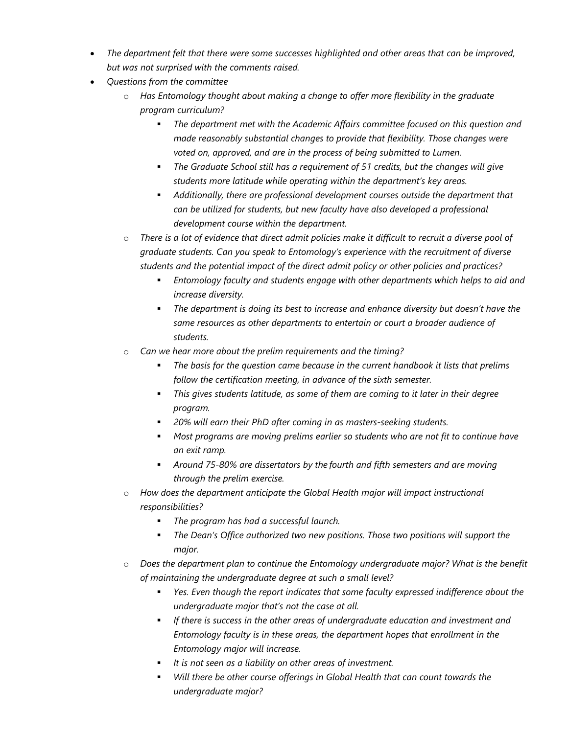- *The department felt that there were some successes highlighted and other areas that can be improved, but was not surprised with the comments raised.*
- *Questions from the committee*
	- o *Has Entomology thought about making a change to offer more flexibility in the graduate program curriculum?*
		- *The department met with the Academic Affairs committee focused on this question and made reasonably substantial changes to provide that flexibility. Those changes were voted on, approved, and are in the process of being submitted to Lumen.*
		- *The Graduate School still has a requirement of 51 credits, but the changes will give students more latitude while operating within the department's key areas.*
		- *Additionally, there are professional development courses outside the department that can be utilized for students, but new faculty have also developed a professional development course within the department.*
	- o *There is a lot of evidence that direct admit policies make it difficult to recruit a diverse pool of graduate students. Can you speak to Entomology's experience with the recruitment of diverse students and the potential impact of the direct admit policy or other policies and practices?*
		- *Entomology faculty and students engage with other departments which helps to aid and increase diversity.*
		- *The department is doing its best to increase and enhance diversity but doesn't have the same resources as other departments to entertain or court a broader audience of students.*
	- o *Can we hear more about the prelim requirements and the timing?*
		- *The basis for the question came because in the current handbook it lists that prelims follow the certification meeting, in advance of the sixth semester.*
		- *This gives students latitude, as some of them are coming to it later in their degree program.*
		- *20% will earn their PhD after coming in as masters-seeking students.*
		- *Most programs are moving prelims earlier so students who are not fit to continue have an exit ramp.*
		- *Around 75-80% are dissertators by the fourth and fifth semesters and are moving through the prelim exercise.*
	- o *How does the department anticipate the Global Health major will impact instructional responsibilities?* 
		- *The program has had a successful launch.*
		- *The Dean's Office authorized two new positions. Those two positions will support the major.*
	- o *Does the department plan to continue the Entomology undergraduate major? What is the benefit of maintaining the undergraduate degree at such a small level?*
		- *Yes. Even though the report indicates that some faculty expressed indifference about the undergraduate major that's not the case at all.*
		- *If there is success in the other areas of undergraduate education and investment and Entomology faculty is in these areas, the department hopes that enrollment in the Entomology major will increase.*
		- *It is not seen as a liability on other areas of investment.*
		- *Will there be other course offerings in Global Health that can count towards the undergraduate major?*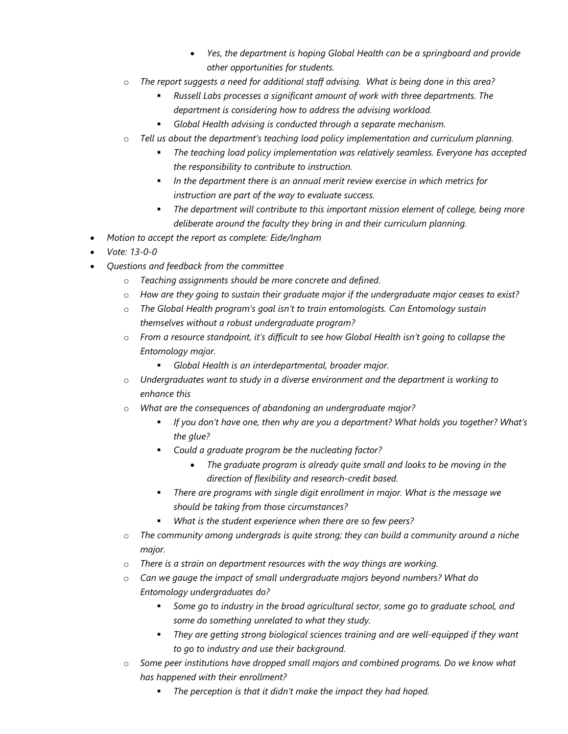- *Yes, the department is hoping Global Health can be a springboard and provide other opportunities for students.*
- o *The report suggests a need for additional staff advising. What is being done in this area?*
	- *Russell Labs processes a significant amount of work with three departments. The department is considering how to address the advising workload.*
	- *Global Health advising is conducted through a separate mechanism.*
- o *Tell us about the department's teaching load policy implementation and curriculum planning.*
	- *The teaching load policy implementation was relatively seamless. Everyone has accepted the responsibility to contribute to instruction.*
	- *In the department there is an annual merit review exercise in which metrics for instruction are part of the way to evaluate success.*
	- *The department will contribute to this important mission element of college, being more deliberate around the faculty they bring in and their curriculum planning.*
- *Motion to accept the report as complete: Eide/Ingham*
- *Vote: 13-0-0*
- *Questions and feedback from the committee*
	- o *Teaching assignments should be more concrete and defined.*
	- o *How are they going to sustain their graduate major if the undergraduate major ceases to exist?*
	- o *The Global Health program's goal isn't to train entomologists. Can Entomology sustain themselves without a robust undergraduate program?*
	- o *From a resource standpoint, it's difficult to see how Global Health isn't going to collapse the Entomology major.*
		- *Global Health is an interdepartmental, broader major.*
	- o *Undergraduates want to study in a diverse environment and the department is working to enhance this*
	- o *What are the consequences of abandoning an undergraduate major?*
		- *If you don't have one, then why are you a department? What holds you together? What's the glue?*
		- *Could a graduate program be the nucleating factor?*
			- *The graduate program is already quite small and looks to be moving in the direction of flexibility and research-credit based.*
		- *There are programs with single digit enrollment in major. What is the message we should be taking from those circumstances?*
		- *What is the student experience when there are so few peers?*
	- o *The community among undergrads is quite strong; they can build a community around a niche major.*
	- o *There is a strain on department resources with the way things are working.*
	- o *Can we gauge the impact of small undergraduate majors beyond numbers? What do Entomology undergraduates do?*
		- *Some go to industry in the broad agricultural sector, some go to graduate school, and some do something unrelated to what they study.*
		- *They are getting strong biological sciences training and are well-equipped if they want to go to industry and use their background.*
	- o *Some peer institutions have dropped small majors and combined programs. Do we know what has happened with their enrollment?*
		- *The perception is that it didn't make the impact they had hoped.*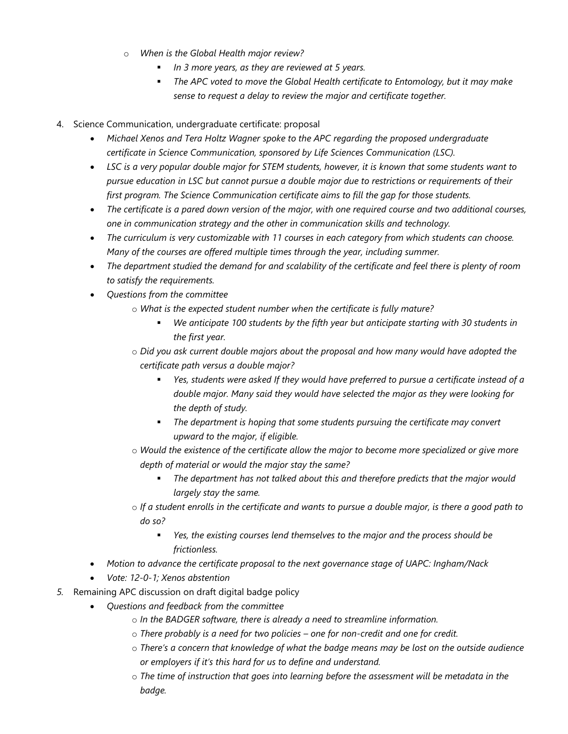- o *When is the Global Health major review?*
	- *In 3 more years, as they are reviewed at 5 years.*
	- *The APC voted to move the Global Health certificate to Entomology, but it may make sense to request a delay to review the major and certificate together.*
- 4. Science Communication, undergraduate certificate: proposal
	- *Michael Xenos and Tera Holtz Wagner spoke to the APC regarding the proposed undergraduate certificate in Science Communication, sponsored by Life Sciences Communication (LSC).*
	- *LSC is a very popular double major for STEM students, however, it is known that some students want to pursue education in LSC but cannot pursue a double major due to restrictions or requirements of their first program. The Science Communication certificate aims to fill the gap for those students.*
	- *The certificate is a pared down version of the major, with one required course and two additional courses, one in communication strategy and the other in communication skills and technology.*
	- *The curriculum is very customizable with 11 courses in each category from which students can choose. Many of the courses are offered multiple times through the year, including summer.*
	- The department studied the demand for and scalability of the certificate and feel there is plenty of room *to satisfy the requirements.*
	- *Questions from the committee*
		- o *What is the expected student number when the certificate is fully mature?*
			- *We anticipate 100 students by the fifth year but anticipate starting with 30 students in the first year.*
		- o *Did you ask current double majors about the proposal and how many would have adopted the certificate path versus a double major?*
			- *Yes, students were asked If they would have preferred to pursue a certificate instead of a double major. Many said they would have selected the major as they were looking for the depth of study.*
			- *The department is hoping that some students pursuing the certificate may convert upward to the major, if eligible.*
		- o *Would the existence of the certificate allow the major to become more specialized or give more depth of material or would the major stay the same?*
			- *The department has not talked about this and therefore predicts that the major would largely stay the same.*
		- o *If a student enrolls in the certificate and wants to pursue a double major, is there a good path to do so?*
			- *Yes, the existing courses lend themselves to the major and the process should be frictionless.*
	- *Motion to advance the certificate proposal to the next governance stage of UAPC: Ingham/Nack*
	- *Vote: 12-0-1; Xenos abstention*
- *5.* Remaining APC discussion on draft digital badge policy
	- *Questions and feedback from the committee*
		- o *In the BADGER software, there is already a need to streamline information.*
		- o *There probably is a need for two policies – one for non-credit and one for credit.*
		- o *There's a concern that knowledge of what the badge means may be lost on the outside audience or employers if it's this hard for us to define and understand.*
		- o *The time of instruction that goes into learning before the assessment will be metadata in the badge.*